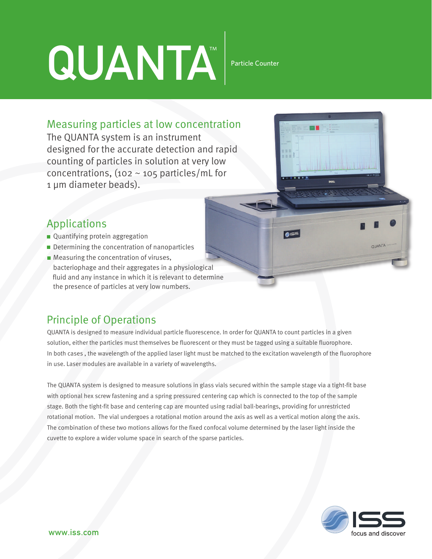# QUANTA<sup>"</sup>

Particle Counter

OISS

#### Measuring particles at low concentration

The QUANTA system is an instrument designed for the accurate detection and rapid counting of particles in solution at very low concentrations, (102  $\sim$  105 particles/mL for 1 µm diameter beads).

## Applications

- Quantifying protein aggregation
- Determining the concentration of nanoparticles
- **Measuring the concentration of viruses,**  bacteriophage and their aggregates in a physiological fluid and any instance in which it is relevant to determine the presence of particles at very low numbers.

# Principle of Operations

QUANTA is designed to measure individual particle fluorescence. In order for QUANTA to count particles in a given solution, either the particles must themselves be fluorescent or they must be tagged using a suitable fluorophore. In both cases , the wavelength of the applied laser light must be matched to the excitation wavelength of the fluorophore in use. Laser modules are available in a variety of wavelengths.

The QUANTA system is designed to measure solutions in glass vials secured within the sample stage via a tight-fit base with optional hex screw fastening and a spring pressured centering cap which is connected to the top of the sample stage. Both the tight-fit base and centering cap are mounted using radial ball-bearings, providing for unrestricted rotational motion. The vial undergoes a rotational motion around the axis as well as a vertical motion along the axis. The combination of these two motions allows for the fixed confocal volume determined by the laser light inside the cuvette to explore a wider volume space in search of the sparse particles.



**OLIANTA**